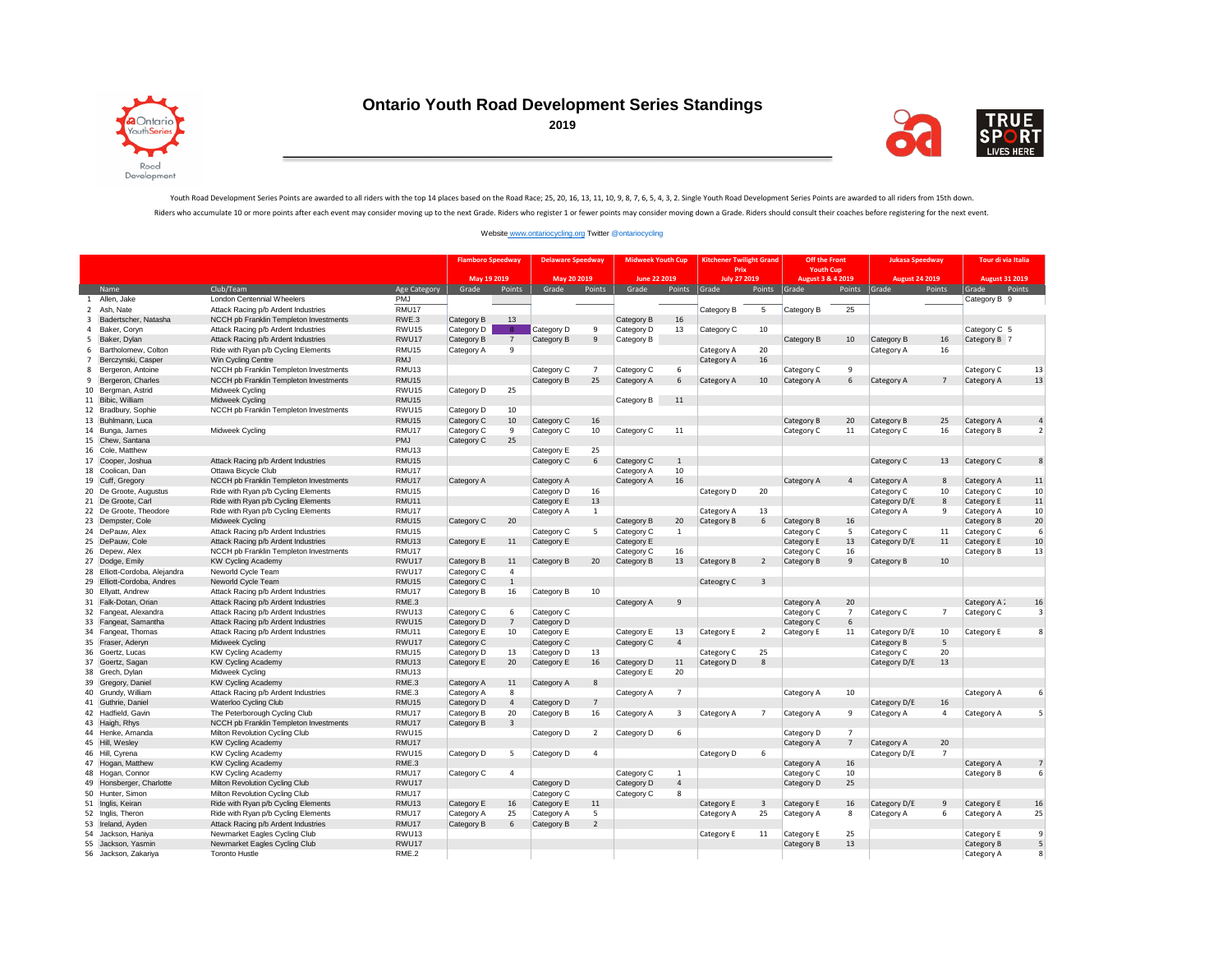

## **Ontario Youth Road Development Series Standings**



## Youth Road Development Series Points are awarded to all riders with the top 14 places based on the Road Race; 25, 20, 16, 13, 11, 10, 9, 8, 7, 6, 5, 4, 3, 2. Single Youth Road Development Series Points are awarded to all r Riders who accumulate 10 or more points after each event may consider moving up to the next Grade. Riders who register 1 or fewer points may consider moving down a Grade. Riders should consult their coaches before register

## [Website www.ontariocycling.org](http://www.ontariocycling.org/#) Twitter @ontariocycling

|                |                               |                                        |                   | <b>Flamboro Speedway</b> |                         | <b>Delaware Speedway</b> |                          | <b>Midweek Youth Cup</b> |                | <b>Kitchener Twilight Grand</b> |              | Off the Front            |                 | <b>Jukasa Speedway</b> |                 | Tour di via Italia    |                          |
|----------------|-------------------------------|----------------------------------------|-------------------|--------------------------|-------------------------|--------------------------|--------------------------|--------------------------|----------------|---------------------------------|--------------|--------------------------|-----------------|------------------------|-----------------|-----------------------|--------------------------|
|                |                               |                                        |                   |                          |                         |                          |                          |                          |                | Prix                            |              | <b>Youth Cup</b>         |                 |                        |                 |                       |                          |
|                |                               |                                        |                   | May 19 2019              |                         | May 20 2019              |                          | June 22 2019             |                | July 27 2019                    |              | August 3 & 4 2019        |                 | <b>August 24 2019</b>  |                 | <b>August 31 2019</b> |                          |
|                | Name                          | Club/Team                              | Age Category      | Grade                    | Points                  | Grade                    | Points                   | Grade                    | Points         | Grade                           | Points       | Grade                    | Points          | Grade                  | Points          | Grade<br>Points       |                          |
| 1              | Allen, Jake                   | <b>London Centennial Wheelers</b>      | <b>PMJ</b>        |                          |                         |                          |                          |                          |                |                                 |              |                          |                 |                        |                 | Category B 9          |                          |
| $\overline{2}$ | Ash, Nate                     | Attack Racing p/b Ardent Industries    | RMU17             |                          |                         |                          |                          |                          |                | Category B                      | 5            | Category B               | $\overline{25}$ |                        |                 |                       |                          |
| $\overline{3}$ | Badertscher, Natasha          | NCCH pb Franklin Templeton Investments | RWE.3             | Category B               | 13                      |                          |                          | Category B               | 16             |                                 |              |                          |                 |                        |                 |                       |                          |
| $\overline{4}$ | Baker, Coryn                  | Attack Racing p/b Ardent Industries    | RWU15             | Category D               | -8                      | Category D               | 9                        | Category D               | 13             | Category C                      | 10           |                          |                 |                        |                 | Category C 5          |                          |
| 5              | Baker, Dylan                  | Attack Racing p/b Ardent Industries    | RWU17             | Category B               | $\overline{7}$          | Category B               | 9                        | Category B               |                |                                 |              | Category B               | 10              | Category B             | 16              | Category B 7          |                          |
| 6              | Bartholomew, Colton           | Ride with Ryan p/b Cycling Elements    | RMU15             | Category A               | 9                       |                          |                          |                          |                | Category A                      | 20           |                          |                 | Category A             | 16              |                       |                          |
| $\overline{7}$ | Berczynski, Casper            | Win Cycling Centre                     | <b>RMJ</b>        |                          |                         |                          |                          |                          |                | Category A                      | 16           |                          |                 |                        |                 |                       |                          |
| 8              | Bergeron, Antoine             | NCCH pb Franklin Templeton Investments | RMU13             |                          |                         | Category C               | $\overline{7}$           | Category C               | 6              |                                 |              | Category C               | 9               |                        |                 | Category C            | 13                       |
| 9              | Bergeron, Charles             | NCCH pb Franklin Templeton Investments | RMU15             |                          |                         | Category B               | 25                       | Category A               | 6              | Category A                      | 10           | Category A               | 6               | Category A             | $7\overline{ }$ | Category A            | 13                       |
|                | 10 Bergman, Astrid            | Midweek Cycling                        | RWU15             | Category D               | 25                      |                          |                          |                          |                |                                 |              |                          |                 |                        |                 |                       |                          |
|                | 11 Bibic, William             | Midweek Cycling                        | RMU15             |                          |                         |                          |                          | Category B               | $11\,$         |                                 |              |                          |                 |                        |                 |                       |                          |
|                | 12 Bradbury, Sophie           | NCCH pb Franklin Templeton Investments | RWU15             | Category D               | 10                      |                          |                          |                          |                |                                 |              |                          |                 |                        |                 |                       |                          |
|                | 13 Buhlmann, Luca             |                                        | RMU15             | Category C               | 10                      | Category C               | 16                       |                          |                |                                 |              | Category B               | 20              | Category B             | 25              | Category A            |                          |
|                | 14 Bunga, James               | Midweek Cycling                        | RMU17             | Category C               | 9                       | Category C               | 10                       | Category C               | 11             |                                 |              | Category C               | 11              | Category C             | 16              | Category B            | $\overline{\phantom{a}}$ |
|                | 15 Chew, Santana              |                                        | PMJ               | Category C               | 25                      |                          |                          |                          |                |                                 |              |                          |                 |                        |                 |                       |                          |
|                | 16 Cole, Matthew              |                                        | RMU13             |                          |                         | Category E               | 25                       |                          |                |                                 |              |                          |                 |                        |                 |                       |                          |
|                | 17 Cooper, Joshua             | Attack Racing p/b Ardent Industries    | RMU15             |                          |                         | Category C               | 6                        | Category C               | $\mathbf{1}$   |                                 |              |                          |                 | Category C             | 13              | Category C            | 8                        |
|                | 18 Coolican, Dan              | Ottawa Bicycle Club                    | RMU17             |                          |                         |                          |                          | Category A               | 10             |                                 |              |                          |                 |                        |                 |                       |                          |
|                | 19 Cuff, Gregory              | NCCH pb Franklin Templeton Investments | RMU17             | Category A               |                         | Category A               |                          | Category A               | 16             |                                 |              | Category A               | $\overline{4}$  | Category A             | 8               | Category A            | 11                       |
|                | 20 De Groote, Augustus        | Ride with Ryan p/b Cycling Elements    | RMU15             |                          |                         | Category D               | 16                       |                          |                | Category D                      | 20           |                          |                 | Category C             | 10              | Category C            | 10                       |
|                | 21 De Groote, Carl            | Ride with Ryan p/b Cycling Elements    | RMU11             |                          |                         | Category E               | 13                       |                          |                |                                 |              |                          |                 | Category D/E           | 8               | Category E            | 11                       |
|                | 22 De Groote, Theodore        | Ride with Ryan p/b Cycling Elements    | RMU17             |                          |                         | Category A               | $\mathbf{1}$             |                          |                | Category A                      | 13           |                          |                 | Category A             | 9               | Category A            | 10                       |
|                | 23 Dempster, Cole             | Midweek Cycling                        | RMU15             | Category C               | 20                      |                          |                          | Category B               | 20             | Category B                      | 6            | Category B               | 16              |                        |                 | Category B            | 20                       |
|                | 24 DePauw, Alex               | Attack Racing p/b Ardent Industries    | RMU <sub>15</sub> |                          |                         | Category C               | 5                        | Category C               | 1              |                                 |              | Category C               | 5               | Category C             | 11              | Category C            | -6                       |
|                | 25 DePauw, Cole               | Attack Racing p/b Ardent Industries    | RMU13             | Category E               | 11                      | Category E               |                          | Category E               |                |                                 |              | Category E               | 13              | Category D/E           | 11              | Category E            | 10                       |
|                | 26 Depew, Alex                | NCCH pb Franklin Templeton Investments | RMU17             |                          |                         |                          |                          | Category C               | 16             |                                 |              | Category C               | 16              |                        |                 | Category B            | 13                       |
|                | 27 Dodge, Emily               | <b>KW Cycling Academy</b>              | RWU17             | Category B               | 11                      | Category B               | 20                       | Category B               | 13             | Category B                      | 2            | Category B               | $\overline{9}$  | Category B             | 10              |                       |                          |
|                | 28 Elliott-Cordoba, Alejandra | Neworld Cycle Team                     | RWU17             | Category C               | $\overline{4}$          |                          |                          |                          |                |                                 |              |                          |                 |                        |                 |                       |                          |
|                | 29 Elliott-Cordoba, Andres    | Neworld Cycle Team                     | RMU <sub>15</sub> | Category C               | $\mathbf{1}$            |                          |                          |                          |                | Cateogry C                      | 3            |                          |                 |                        |                 |                       |                          |
|                | 30 Ellyatt, Andrew            | Attack Racing p/b Ardent Industries    | RMU17             | Category B               | 16                      | Category B               | 10                       |                          |                |                                 |              |                          |                 |                        |                 |                       |                          |
|                | 31 Falk-Dotan, Orian          | Attack Racing p/b Ardent Industries    | RME.3             |                          |                         |                          |                          | Category A               | 9              |                                 |              | Category A               | 20              |                        |                 | Category A 2          | 16                       |
|                | 32 Fangeat, Alexandra         | Attack Racing p/b Ardent Industries    | RWU <sub>13</sub> | Category C               | 6                       | Category C               |                          |                          |                |                                 |              | Category C               | $\overline{7}$  | Category C             | $\overline{7}$  | Category C            | २                        |
|                | 33 Fangeat, Samantha          | Attack Racing p/b Ardent Industries    | RWU <sub>15</sub> | Category D               | $7\overline{ }$         | Category D               |                          |                          |                |                                 |              | Category C               | 6               |                        |                 |                       |                          |
|                | 34 Fangeat, Thomas            | Attack Racing p/b Ardent Industries    | RMU11             | Category E               | 10                      | Category E               |                          | Category E               | 13             | Category E                      | 2            | Category E               | 11              | Category D/E           | 10              | Category E            | ×                        |
|                | 35 Fraser, Adervn             | Midweek Cycling                        | RWU17             | Category C               |                         | Category C               |                          | Category C               | $\overline{4}$ |                                 |              |                          |                 | Category B             | 5               |                       |                          |
|                | 36 Goertz, Lucas              | <b>KW Cycling Academy</b>              | RMU15             | Category D               | 13                      | Category D               | 13                       |                          |                | Category C                      | 25           |                          |                 | Category C             | 20              |                       |                          |
|                | 37 Goertz, Sagan              | <b>KW Cycling Academy</b>              | RMU <sub>13</sub> | Category E               | 20                      | Category E               | 16                       | Category D               | 11             | Category D                      | 8            |                          |                 | Category D/E           | 13              |                       |                          |
|                | 38 Grech, Dylan               | Midweek Cycling                        | RMU <sub>13</sub> |                          |                         |                          |                          | Category E               | 20             |                                 |              |                          |                 |                        |                 |                       |                          |
|                | 39 Gregory, Daniel            | <b>KW Cycling Academy</b>              | RME.3             | Category A               | 11                      | Category A               | $\mathbf{8}$             |                          |                |                                 |              |                          |                 |                        |                 |                       |                          |
|                | 40 Grundy, William            | Attack Racing p/b Ardent Industries    | RME.3             | Category A               | 8                       |                          |                          | Category A               | $\overline{7}$ |                                 |              | Category A               | 10              |                        |                 | Category A            | 6                        |
|                | 41 Guthrie, Daniel            | Waterloo Cycling Club                  | RMU15             | Category D               | $\overline{4}$          | Category D               | $\overline{7}$           |                          |                |                                 |              |                          |                 | Category D/E           | 16              |                       |                          |
|                | 42 Hadfield, Gavin            | The Peterborough Cycling Club          | RMU17             | Category B               | 20                      | Category B               | 16                       | Category A               | 3              | Category A                      | $7^{\circ}$  | Category A               | 9               | Category A             | $\overline{4}$  | Category A            |                          |
|                | 43 Haigh, Rhys                | NCCH pb Franklin Templeton Investments | RMU17             | Category B               | $\overline{\mathbf{3}}$ |                          |                          |                          |                |                                 |              |                          |                 |                        |                 |                       |                          |
|                | 44 Henke, Amanda              | Milton Revolution Cycling Club         | RWU15             |                          |                         | Category D               | $\overline{2}$           | Category D               | 6              |                                 |              | Category D               | $\overline{7}$  |                        |                 |                       |                          |
|                | 45 Hill, Wesley               | <b>KW Cycling Academy</b>              | RMU17             |                          |                         |                          |                          |                          |                |                                 |              | Category A               | $7\phantom{.0}$ | Category A             | 20              |                       |                          |
|                | 46 Hill, Cyrena               | <b>KW Cycling Academy</b>              | RWU <sub>15</sub> | Category D               | 5                       | Category D               | $\overline{a}$           |                          |                | Category D                      | -6           |                          |                 | Category D/E           | $\overline{7}$  |                       |                          |
|                | 47 Hogan, Matthew             | <b>KW Cycling Academy</b>              | RME.3             |                          |                         |                          |                          |                          |                |                                 |              | Category A               | 16              |                        |                 | Category A            |                          |
|                | 48 Hogan, Connor              | <b>KW Cycling Academy</b>              | RMU17             | Category C               | $\overline{4}$          |                          |                          | Category C               | 1              |                                 |              | Category C               | 10              |                        |                 | Category B            |                          |
|                | 49 Honsberger, Charlotte      | Milton Revolution Cycling Club         | RWU17             |                          |                         | Category D               |                          | Category D               | $\overline{4}$ |                                 |              | Category D               | 25              |                        |                 |                       |                          |
|                | 50 Hunter, Simon              | Milton Revolution Cycling Club         | RMU17             |                          |                         | Category C               |                          | Category C               | 8              |                                 |              |                          |                 |                        |                 |                       |                          |
|                | 51 Inglis, Keiran             | Ride with Ryan p/b Cycling Elements    | RMU13             | Category E               | 16                      | Category E               | 11                       |                          |                | Category E                      | $\mathbf{3}$ | Category E               | 16              | Category D/E           | 9               | Category E            | 16                       |
|                | 52 Inglis, Theron             | Ride with Ryan p/b Cycling Elements    | RMU17             | Category A               | 25                      | Category A               | 5                        |                          |                | Category A                      | 25           | Category A               | 8               | Category A             | 6               | Category A            | 25                       |
|                | 53 Ireland, Ayden             | Attack Racing p/b Ardent Industries    | RMU17             | Category B               | 6                       | Category B               | $\overline{\phantom{a}}$ |                          |                |                                 |              |                          |                 |                        |                 |                       |                          |
|                | Jackson, Haniya               | Newmarket Eagles Cycling Club          | RWU13             |                          |                         |                          |                          |                          |                |                                 | 11           |                          | 25              |                        |                 | Category E            | q                        |
| 54             | 55 Jackson, Yasmin            | Newmarket Eagles Cycling Club          | RWU17             |                          |                         |                          |                          |                          |                | Category E                      |              | Category E<br>Category B | 13              |                        |                 | Category B            | 5                        |
|                |                               |                                        | RME.2             |                          |                         |                          |                          |                          |                |                                 |              |                          |                 |                        |                 |                       | $\mathbf{\mathsf{R}}$    |
|                | 56 Jackson, Zakariya          | <b>Toronto Hustle</b>                  |                   |                          |                         |                          |                          |                          |                |                                 |              |                          |                 |                        |                 | Category A            |                          |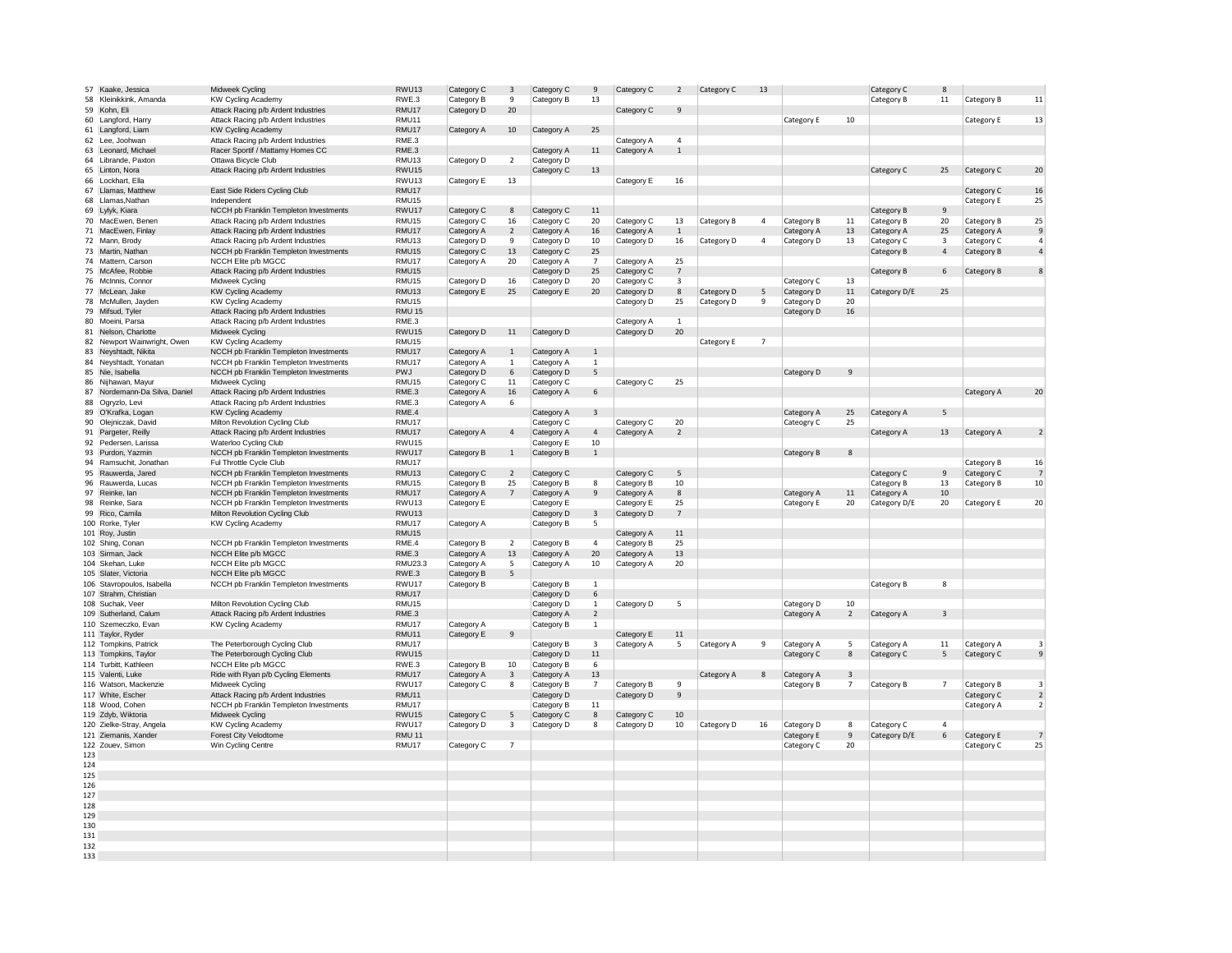|     |                               |                                        | RWU13             |            |                         |            | $\overline{9}$ |            |                 |            |                |            |                |              | 8  |            |                         |
|-----|-------------------------------|----------------------------------------|-------------------|------------|-------------------------|------------|----------------|------------|-----------------|------------|----------------|------------|----------------|--------------|----|------------|-------------------------|
|     | 57 Kaake, Jessica             | Midweek Cycling                        |                   | Category C | $\overline{\mathbf{3}}$ | Category C |                | Category C | $\overline{2}$  | Category C | 13             |            |                | Category C   |    |            |                         |
| 58  | Kleinikkink, Amanda           | <b>KW Cycling Academy</b>              | RWE.3             | Category B | 9                       | Category B | 13             |            |                 |            |                |            |                | Category B   | 11 | Category B | 11                      |
|     | 59 Kohn, Eli                  | Attack Racing p/b Ardent Industries    | RMU17             | Category D | 20                      |            |                | Category C | 9               |            |                |            |                |              |    |            |                         |
|     |                               |                                        |                   |            |                         |            |                |            |                 |            |                |            |                |              |    |            |                         |
|     | 60 Langford, Harry            | Attack Racing p/b Ardent Industries    | RMU11             |            |                         |            |                |            |                 |            |                | Category E | 10             |              |    | Category E | 13                      |
|     | 61 Langford, Liam             | <b>KW Cycling Academy</b>              | RMU17             | Category A | 10                      | Category A | 25             |            |                 |            |                |            |                |              |    |            |                         |
|     |                               |                                        |                   |            |                         |            |                |            |                 |            |                |            |                |              |    |            |                         |
|     | 62 Lee, Joohwan               | Attack Racing p/b Ardent Industries    | RME.3             |            |                         |            |                | Category A | $\overline{4}$  |            |                |            |                |              |    |            |                         |
|     | 63 Leonard, Michael           | Racer Sportif / Mattamy Homes CC       | RME.3             |            |                         | Category A | $11\,$         | Category A | $\overline{1}$  |            |                |            |                |              |    |            |                         |
|     |                               |                                        |                   |            |                         |            |                |            |                 |            |                |            |                |              |    |            |                         |
|     | 64 Librande, Paxton           | Ottawa Bicycle Club                    | RMU13             | Category D | $\overline{2}$          | Category D |                |            |                 |            |                |            |                |              |    |            |                         |
|     | 65 Linton, Nora               | Attack Racing p/b Ardent Industries    | RWU15             |            |                         | Category C | 13             |            |                 |            |                |            |                | Category C   | 25 | Category C | 20                      |
|     | 66 Lockhart, Ella             |                                        | RWU13             | Category E | 13                      |            |                |            | 16              |            |                |            |                |              |    |            |                         |
|     |                               |                                        |                   |            |                         |            |                | Category E |                 |            |                |            |                |              |    |            |                         |
|     | 67 Llamas, Matthew            | East Side Riders Cycling Club          | RMU17             |            |                         |            |                |            |                 |            |                |            |                |              |    | Category C | 16                      |
|     | 68 Llamas, Nathan             | Independent                            | RMU15             |            |                         |            |                |            |                 |            |                |            |                |              |    |            | 25                      |
|     |                               |                                        |                   |            |                         |            |                |            |                 |            |                |            |                |              |    | Category E |                         |
|     | 69 Lylyk, Kiara               | NCCH pb Franklin Templeton Investments | RWU17             | Category C | 8                       | Category C | 11             |            |                 |            |                |            |                | Category B   | 9  |            |                         |
|     | 70 MacEwen, Benen             | Attack Racing p/b Ardent Industries    | RMU15             | Category C | 16                      | Category C | 20             | Category C | 13              | Category B | $\overline{4}$ | Category B | 11             | Category B   | 20 | Category B | 25                      |
|     |                               |                                        |                   |            |                         |            |                |            |                 |            |                |            |                |              |    |            |                         |
|     | 71 MacEwen, Finlay            | Attack Racing p/b Ardent Industries    | RMU17             | Category A | $\overline{2}$          | Category A | 16             | Category A | 1               |            |                | Category A | 13             | Category A   | 25 | Category A | 9                       |
|     | 72 Mann, Brody                | Attack Racing p/b Ardent Industries    | RMU13             | Category D | 9                       | Category D | 10             | Category D | 16              | Category D | $\sqrt{4}$     | Category D | 13             | Category C   | 3  | Category C | $\overline{4}$          |
|     |                               |                                        |                   |            |                         |            |                |            |                 |            |                |            |                |              |    |            |                         |
|     | 73 Martin, Nathan             | NCCH pb Franklin Templeton Investments | RMU15             | Category C | 13                      | Category C | 25             |            |                 |            |                |            |                | Category B   | 4  | Category B | $\overline{4}$          |
|     | 74 Mattern, Carson            | NCCH Elite p/b MGCC                    | RMU17             | Category A | 20                      | Category A | $\overline{7}$ | Category A | 25              |            |                |            |                |              |    |            |                         |
|     |                               |                                        |                   |            |                         |            |                |            |                 |            |                |            |                |              |    |            |                         |
|     | 75 McAfee, Robbie             | Attack Racing p/b Ardent Industries    | RMU15             |            |                         | Category D | 25             | Category C | $7\phantom{.0}$ |            |                |            |                | Category B   | 6  | Category B | 8                       |
|     | 76 McInnis, Connor            | Midweek Cycling                        | RMU15             | Category D | 16                      | Category D | 20             | Category C | 3               |            |                | Category C | 13             |              |    |            |                         |
|     |                               |                                        |                   |            |                         |            |                |            |                 |            |                |            |                |              |    |            |                         |
|     | 77 McLean, Jake               | <b>KW Cycling Academy</b>              | RMU13             | Category E | 25                      | Category E | 20             | Category D | $8\phantom{1}$  | Category D | 5              | Category D | $11\,$         | Category D/E | 25 |            |                         |
|     | 78 McMullen, Jayden           | <b>KW Cycling Academy</b>              | RMU15             |            |                         |            |                | Category D | 25              | Category D | 9              | Category D | 20             |              |    |            |                         |
|     |                               |                                        |                   |            |                         |            |                |            |                 |            |                |            |                |              |    |            |                         |
|     | 79 Mifsud, Tvler              | Attack Racing p/b Ardent Industries    | <b>RMU 15</b>     |            |                         |            |                |            |                 |            |                | Category D | $16\,$         |              |    |            |                         |
|     | 80 Moeini, Parsa              | Attack Racing p/b Ardent Industries    | RME.3             |            |                         |            |                | Category A | $\mathbf{1}$    |            |                |            |                |              |    |            |                         |
|     |                               |                                        |                   |            |                         |            |                |            |                 |            |                |            |                |              |    |            |                         |
|     | 81 Nelson, Charlotte          | Midweek Cycling                        | RWU15             | Category D | $11\,$                  | Category D |                | Category D | 20              |            |                |            |                |              |    |            |                         |
|     | 82 Newport Wainwright, Owen   | <b>KW Cycling Academy</b>              | RMU15             |            |                         |            |                |            |                 | Category E | $\overline{7}$ |            |                |              |    |            |                         |
|     |                               |                                        |                   |            |                         |            |                |            |                 |            |                |            |                |              |    |            |                         |
|     | 83 Neyshtadt, Nikita          | NCCH pb Franklin Templeton Investments | RMU17             | Category A | $\,$ 1                  | Category A | $\mathbf{1}$   |            |                 |            |                |            |                |              |    |            |                         |
|     | 84 Neyshtadt, Yonatan         | NCCH pb Franklin Templeton Investments | RMU17             | Category A | $\mathbf{1}$            | Category A | $\mathbf{1}$   |            |                 |            |                |            |                |              |    |            |                         |
|     |                               |                                        |                   |            |                         |            |                |            |                 |            |                |            |                |              |    |            |                         |
|     | 85 Nie, Isabella              | NCCH pb Franklin Templeton Investments | PWJ               | Category D | 6                       | Category D | 5              |            |                 |            |                | Category D | 9              |              |    |            |                         |
| 86  | Nijhawan, Mayur               | Midweek Cycling                        | RMU15             | Category C | 11                      | Category C |                | Category C | 25              |            |                |            |                |              |    |            |                         |
|     |                               |                                        |                   |            |                         |            |                |            |                 |            |                |            |                |              |    |            |                         |
|     | 87 Nordemann-Da Silva, Daniel | Attack Racing p/b Ardent Industries    | RME.3             | Category A | 16                      | Category A | 6              |            |                 |            |                |            |                |              |    | Category A | 20                      |
|     | 88 Ogryzlo, Levi              | Attack Racing p/b Ardent Industries    | RME.3             | Category A | -6                      |            |                |            |                 |            |                |            |                |              |    |            |                         |
|     |                               |                                        |                   |            |                         |            |                |            |                 |            |                |            |                |              |    |            |                         |
|     | 89 O'Krafka, Logan            | <b>KW Cycling Academy</b>              | RME.4             |            |                         | Category A | 3              |            |                 |            |                | Category A | 25             | Category A   | 5  |            |                         |
|     | 90 Olejniczak, David          | Milton Revolution Cycling Club         | RMU17             |            |                         | Category C |                | Category C | $20\,$          |            |                | Cateogry C | 25             |              |    |            |                         |
|     |                               |                                        |                   |            |                         |            |                |            |                 |            |                |            |                |              |    |            |                         |
|     | 91 Pargeter, Reilly           | Attack Racing p/b Ardent Industries    | RMU17             | Category A | $\overline{4}$          | Category A | $\overline{4}$ | Category A | $\overline{2}$  |            |                |            |                | Category A   | 13 | Category A | $\overline{2}$          |
|     | 92 Pedersen, Larissa          | Waterloo Cycling Club                  | RWU15             |            |                         | Category E | 10             |            |                 |            |                |            |                |              |    |            |                         |
|     |                               |                                        |                   |            |                         |            |                |            |                 |            |                |            |                |              |    |            |                         |
|     | 93 Purdon, Yazmin             | NCCH pb Franklin Templeton Investments | RWU17             | Category B | $\mathbf{1}$            | Category B | $\mathbf{1}$   |            |                 |            |                | Category B | 8              |              |    |            |                         |
|     | 94 Ramsuchit, Jonathan        | Ful Throttle Cycle Club                | RMU17             |            |                         |            |                |            |                 |            |                |            |                |              |    | Category B | 16                      |
| 95  |                               |                                        | RMU13             |            |                         |            |                |            |                 |            |                |            |                |              |    |            | $\overline{7}$          |
|     | Rauwerda, Jared               | NCCH pb Franklin Templeton Investments |                   | Category C | $\overline{2}$          | Category C |                | Category C | 5               |            |                |            |                | Category C   | 9  | Category C |                         |
| 96  | Rauwerda, Lucas               | NCCH pb Franklin Templeton Investments | RMU15             | Category B | 25                      | Category B | 8              | Category B | 10              |            |                |            |                | Category B   | 13 | Category B | 10                      |
|     |                               |                                        | RMU17             |            |                         |            |                |            |                 |            |                |            |                |              |    |            |                         |
|     | 97 Reinke, Ian                | NCCH pb Franklin Templeton Investments |                   | Category A | $7\overline{ }$         | Category A | $\overline{9}$ | Category A | 8               |            |                | Category A | 11             | Category A   | 10 |            |                         |
|     | 98 Reinke, Sara               | NCCH pb Franklin Templeton Investments | RWU13             | Category E |                         | Category E |                | Category E | 25              |            |                | Category E | 20             | Category D/E | 20 | Category E | 20                      |
|     |                               |                                        |                   |            |                         |            |                |            |                 |            |                |            |                |              |    |            |                         |
|     | 99 Rico, Camila               | Milton Revolution Cycling Club         | RWU13             |            |                         | Category D | $\overline{3}$ | Category D | $7\overline{ }$ |            |                |            |                |              |    |            |                         |
|     | 100 Rorke, Tyler              | <b>KW Cycling Academy</b>              | RMU17             | Category A |                         | Category B | 5              |            |                 |            |                |            |                |              |    |            |                         |
|     |                               |                                        |                   |            |                         |            |                |            |                 |            |                |            |                |              |    |            |                         |
|     | 101 Roy, Justin               |                                        | RMU15             |            |                         |            |                | Category A | $11\,$          |            |                |            |                |              |    |            |                         |
|     | 102 Shing, Conan              | NCCH pb Franklin Templeton Investments | RME.4             | Category B | $\overline{2}$          | Category B | $\overline{a}$ | Category B | 25              |            |                |            |                |              |    |            |                         |
|     |                               |                                        |                   |            |                         |            |                |            |                 |            |                |            |                |              |    |            |                         |
|     | 103 Sirman, Jack              | NCCH Elite p/b MGCC                    | RME.3             | Category A | 13                      | Category A | 20             | Category A | $13\,$          |            |                |            |                |              |    |            |                         |
|     | 104 Skehan, Luke              | NCCH Elite p/b MGCC                    | RMU23.3           | Category A | 5                       | Category A | $10\,$         | Category A | 20              |            |                |            |                |              |    |            |                         |
|     |                               |                                        |                   |            |                         |            |                |            |                 |            |                |            |                |              |    |            |                         |
|     | 105 Slater, Victoria          | NCCH Elite p/b MGCC                    | RWE.3             | Category B | 5                       |            |                |            |                 |            |                |            |                |              |    |            |                         |
|     | 106 Stavropoulos, Isabella    | NCCH pb Franklin Templeton Investments | RWU17             | Category B |                         | Category B | $\mathbf{1}$   |            |                 |            |                |            |                | Category B   | 8  |            |                         |
|     |                               |                                        |                   |            |                         |            |                |            |                 |            |                |            |                |              |    |            |                         |
|     | 107 Strahm, Christian         |                                        | RMU17             |            |                         | Category D | 6              |            |                 |            |                |            |                |              |    |            |                         |
|     | 108 Suchak, Veer              | Milton Revolution Cycling Club         | RMU15             |            |                         | Category D | $\mathbf{1}$   | Category D | 5               |            |                | Category D | 10             |              |    |            |                         |
|     |                               |                                        |                   |            |                         |            |                |            |                 |            |                |            |                |              |    |            |                         |
|     | 109 Sutherland, Calum         | Attack Racing p/b Ardent Industries    | RME.3             |            |                         | Category A | $\overline{2}$ |            |                 |            |                | Category A | $\overline{2}$ | Category A   | 3  |            |                         |
|     | 110 Szemeczko, Evan           | <b>KW Cycling Academy</b>              | RMU17             | Category A |                         | Category B | 1              |            |                 |            |                |            |                |              |    |            |                         |
|     |                               |                                        |                   |            |                         |            |                |            |                 |            |                |            |                |              |    |            |                         |
|     | 111 Taylor, Ryder             |                                        | RMU11             | Category E |                         |            |                | Category E | 11              |            |                |            |                |              |    |            |                         |
|     | 112 Tompkins, Patrick         | The Peterborough Cycling Club          | RMU17             |            |                         | Category B | 3              | Category A | 5               | Category A | 9              | Category A | 5              | Category A   | 11 | Category A | $\overline{\mathbf{3}}$ |
|     | 113 Tompkins, Taylor          | The Peterborough Cycling Club          | RWU <sub>15</sub> |            |                         | Category D | $11\,$         |            |                 |            |                |            |                |              |    |            | 9                       |
|     |                               |                                        |                   |            |                         |            |                |            |                 |            |                | Category C | $\,$ 8         | Category C   | 5  | Category C |                         |
|     | 114 Turbitt, Kathleen         | NCCH Elite p/b MGCC                    | RWE.3             | Category B | 10                      | Category B | 6              |            |                 |            |                |            |                |              |    |            |                         |
|     | 115 Valenti, Luke             |                                        | RMU17             |            | $\overline{\mathbf{3}}$ |            | 13             |            |                 | Category A | $\mathbf{8}$   |            | $\overline{3}$ |              |    |            |                         |
|     |                               | Ride with Ryan p/b Cycling Elements    |                   | Category A |                         | Category A |                |            |                 |            |                | Category A |                |              |    |            |                         |
|     | 116 Watson, Mackenzie         | Midweek Cycling                        | RWU17             | Category C | 8                       | Category B | $\overline{7}$ | Category B | 9               |            |                | Category B | 7              | Category B   | 7  | Category B | 3                       |
|     | 117 White, Escher             |                                        | RMU11             |            |                         |            |                | Category D | 9               |            |                |            |                |              |    |            | $\overline{2}$          |
|     |                               | Attack Racing p/b Ardent Industries    |                   |            |                         | Category D |                |            |                 |            |                |            |                |              |    | Category C |                         |
|     | 118 Wood, Cohen               | NCCH pb Franklin Templeton Investments | RMU17             |            |                         | Category B | 11             |            |                 |            |                |            |                |              |    | Category A | $\overline{2}$          |
|     |                               |                                        | RWU15             |            |                         |            |                |            |                 |            |                |            |                |              |    |            |                         |
|     | 119 Zdyb, Wiktoria            | Midweek Cycling                        |                   | Category C | 5                       | Category C | 8              | Category C | 10              |            |                |            |                |              |    |            |                         |
|     | 120 Zielke-Stray, Angela      | KW Cycling Academy                     | RWU17             | Category D | -3                      | Category D | 8              | Category D | 10              | Category D | 16             | Category D | 8              | Category C   | 4  |            |                         |
|     |                               |                                        |                   |            |                         |            |                |            |                 |            |                |            |                |              |    |            | $\overline{7}$          |
|     | 121 Ziemanis, Xander          | Forest City Velodtome                  | <b>RMU 11</b>     |            |                         |            |                |            |                 |            |                | Category E | 9              | Category D/E | 6  | Category E |                         |
|     | 122 Zouev. Simon              | Win Cycling Centre                     | RMU17             | Category C | $\overline{7}$          |            |                |            |                 |            |                | Category C | 20             |              |    | Category C | 25                      |
|     |                               |                                        |                   |            |                         |            |                |            |                 |            |                |            |                |              |    |            |                         |
| 123 |                               |                                        |                   |            |                         |            |                |            |                 |            |                |            |                |              |    |            |                         |
| 124 |                               |                                        |                   |            |                         |            |                |            |                 |            |                |            |                |              |    |            |                         |
|     |                               |                                        |                   |            |                         |            |                |            |                 |            |                |            |                |              |    |            |                         |
| 125 |                               |                                        |                   |            |                         |            |                |            |                 |            |                |            |                |              |    |            |                         |
| 126 |                               |                                        |                   |            |                         |            |                |            |                 |            |                |            |                |              |    |            |                         |
|     |                               |                                        |                   |            |                         |            |                |            |                 |            |                |            |                |              |    |            |                         |
| 127 |                               |                                        |                   |            |                         |            |                |            |                 |            |                |            |                |              |    |            |                         |
| 128 |                               |                                        |                   |            |                         |            |                |            |                 |            |                |            |                |              |    |            |                         |
| 129 |                               |                                        |                   |            |                         |            |                |            |                 |            |                |            |                |              |    |            |                         |
|     |                               |                                        |                   |            |                         |            |                |            |                 |            |                |            |                |              |    |            |                         |
| 130 |                               |                                        |                   |            |                         |            |                |            |                 |            |                |            |                |              |    |            |                         |
| 131 |                               |                                        |                   |            |                         |            |                |            |                 |            |                |            |                |              |    |            |                         |
|     |                               |                                        |                   |            |                         |            |                |            |                 |            |                |            |                |              |    |            |                         |
| 132 |                               |                                        |                   |            |                         |            |                |            |                 |            |                |            |                |              |    |            |                         |
| 133 |                               |                                        |                   |            |                         |            |                |            |                 |            |                |            |                |              |    |            |                         |
|     |                               |                                        |                   |            |                         |            |                |            |                 |            |                |            |                |              |    |            |                         |